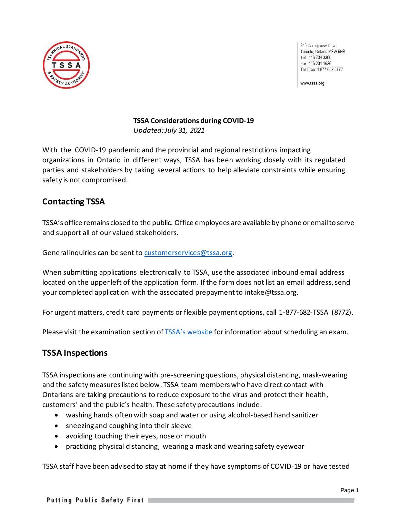

345 Carlingview Drive Toronto, Ontario M9W 6N9 Tel.: 416.734.3300 Fax: 416 231 1626 Toll Free: 1.877.682.8772

www.tssa.org

# **TSSA Considerations during COVID-19**

*Updated: July 31, 2021*

With the COVID-19 pandemic and the provincial and regional restrictions impacting organizations in Ontario in different ways, TSSA has been working closely with its regulated parties and stakeholders by taking several actions to help alleviate constraints while ensuring safety is not compromised.

# **Contacting TSSA**

TSSA's office remains closed to the public. Office employees are available by phone or email to serve and support all of our valued stakeholders.

General inquiries can be sent to [customerservices@tssa.org.](mailto:customerservices@tssa.org)

When submitting applications electronically to TSSA, use the associated inbound email address located on the upper left of the application form. If the form does not list an email address, send your completed application with the associated prepayment to [intake@tssa.org.](mailto:intake@tssa.org)

For urgent matters, credit card payments or flexible payment options, call 1-877-682-TSSA (8772).

Please visit the examination section of [TSSA's website](https://www.tssa.org/en/ski-lifts/register-for-an-exam.aspx) for information about scheduling an exam.

# **TSSA Inspections**

TSSA inspections are continuing with pre-screening questions, physical distancing, mask-wearing and the safety measures listed below. TSSA team members who have direct contact with Ontarians are taking precautions to reduce exposure to the virus and protect their health, customers' and the public's health. These safety precautions include:

- washing hands often with soap and water or using alcohol-based hand sanitizer
- sneezing and coughing into their sleeve
- avoiding touching their eyes, nose or mouth
- practicing physical distancing, wearing a mask and wearing safety eyewear

TSSA staff have been advised to stay at home if they have symptoms of COVID-19 or have tested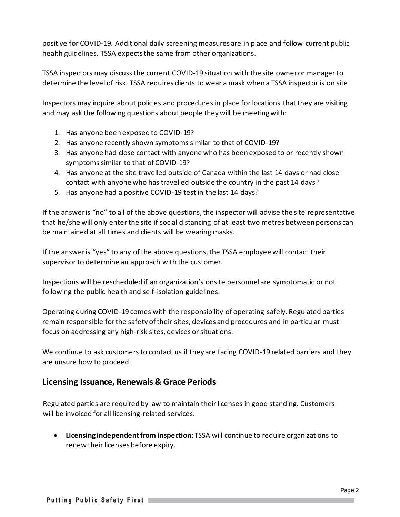positive for COVID-19. Additional daily screening measures are in place and follow current public health guidelines. TSSA expects the same from other organizations.

TSSA inspectors may discuss the current COVID-19 situation with the site owner or manager to determine the level of risk. TSSA requires clients to wear a mask when a TSSA inspector is on site.

Inspectors may inquire about policies and procedures in place for locations that they are visiting and may ask the following questions about people they will be meeting with:

- 1. Has anyone been exposed to COVID-19?
- 2. Has anyone recently shown symptoms similar to that of COVID-19?
- 3. Has anyone had close contact with anyone who has been exposed to or recently shown symptoms similar to that of COVID-19?
- 4. Has anyone at the site travelled outside of Canada within the last 14 days or had close contact with anyone who has travelled outside the country in the past 14 days?
- 5. Has anyone had a positive COVID-19 test in the last 14 days?

If the answer is "no" to all of the above questions, the inspector will advise the site representative that he/she will only enter the site if social distancing of at least two metres between persons can be maintained at all times and clients will be wearing masks.

If the answer is "yes" to any of the above questions, the TSSA employee will contact their supervisor to determine an approach with the customer.

Inspections will be rescheduled if an organization's onsite personnel are symptomatic or not following the public health and self-isolation guidelines.

Operating during COVID-19 comes with the responsibility of operating safely. Regulated parties remain responsible for the safety of their sites, devices and procedures and in particular must focus on addressing any high-risk sites, devices or situations.

We continue to ask customers to contact us if they are facing COVID-19 related barriers and they are unsure how to proceed.

### **Licensing Issuance, Renewals & Grace Periods**

Regulated parties are required by law to maintain their licenses in good standing. Customers will be invoiced for all licensing-related services.

• **Licensing independentfrom inspection**: TSSA will continue to require organizations to renew their licenses before expiry.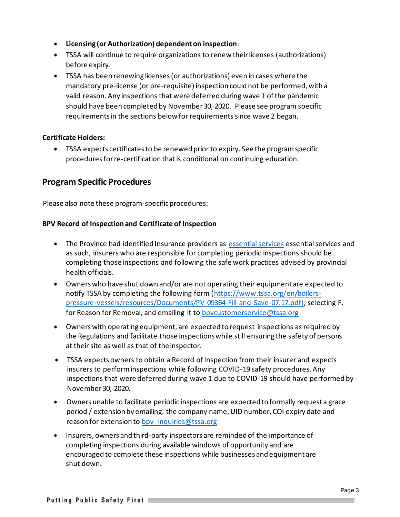- **Licensing (or Authorization) dependenton inspection**:
- TSSA will continue to require organizations to renew their licenses (authorizations) before expiry.
- TSSA has been renewing licenses(or authorizations) even in cases where the mandatory pre-license (or pre-requisite) inspection could not be performed, with a valid reason. Any inspections that were deferred during wave 1 of the pandemic should have been completed by November 30, 2020. Please see program specific requirements in the sections below for requirements since wave 2 began.

#### **Certificate Holders:**

• TSSA expects certificatesto be renewed prior to expiry. See the program specific procedures for re-certification that is conditional on continuing education.

### **Program Specific Procedures**

Please also note these program-specific procedures:

#### **BPV Record of Inspection and Certificate of Inspection**

- The Province had identified Insurance providers as [essential services](https://www.ontario.ca/page/list-essential-workplaces) essential services and as such, insurers who are responsible for completing periodic inspections should be completing those inspections and following the safe work practices advised by provincial health officials.
- Owners who have shut down and/or are not operating their equipment are expected to notify TSSA by completing the following form [\(https://www.tssa.org/en/boilers](https://www.tssa.org/en/boilers-pressure-vessels/resources/Documents/PV-09364-Fill-and-Save-07.17.pdf))[pressure-vessels/resources/Documents/PV-09364-Fill-and-Save-07.17.pdf\),](https://www.tssa.org/en/boilers-pressure-vessels/resources/Documents/PV-09364-Fill-and-Save-07.17.pdf)) selecting F. for Reason for Removal, and emailing it to bpycustomerservice@tssa.org
- Owners with operating equipment, are expected to request inspections as required by the Regulations and facilitate those inspectionswhile still ensuring the safety of persons at their site as well as that of theinspector.
- TSSA expects owners to obtain a Record of Inspection from their insurer and expects insurers to perform inspections while following COVID-19 safety procedures. Any inspections that were deferred during wave 1 due to COVID-19 should have performed by November 30, 2020.
- Owners unable to facilitate periodic inspections are expected to formally request a grace period / extension by emailing: the company name, UID number, COI expiry date and reason for extension to bpv inquiries@tssa.org
- Insurers, owners and third-party inspectors are reminded of the importance of completing inspections during available windows of opportunity and are encouraged to complete these inspections while businesses and equipment are shut down.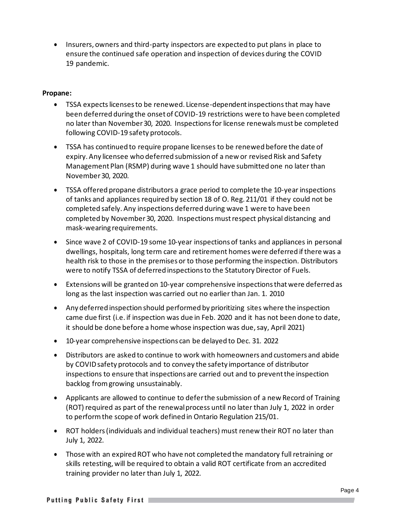• Insurers, owners and third-party inspectors are expected to put plans in place to ensure the continued safe operation and inspection of devices during the COVID 19 pandemic.

#### **Propane:**

- TSSA expects licenses to be renewed. License-dependent inspections that may have been deferred during the onset of COVID-19 restrictions were to have been completed no later than November 30, 2020. Inspections for license renewals must be completed following COVID-19 safety protocols.
- TSSA has continued to require propane licenses to be renewed before the date of expiry. Any licensee who deferred submission of a new or revised Risk and Safety Management Plan (RSMP) during wave 1 should have submitted one no later than November 30, 2020.
- TSSA offered propane distributors a grace period to complete the 10-year inspections of tanks and appliances required by section 18 of O. Reg. 211/01 if they could not be completed safely. Any inspections deferred during wave 1 were to have been completed by November 30, 2020. Inspections must respect physical distancing and mask-wearing requirements.
- Since wave 2 of COVID-19 some 10-year inspections of tanks and appliances in personal dwellings, hospitals, long term care and retirement homes were deferred if there was a health risk to those in the premises or to those performing the inspection. Distributors were to notify TSSA of deferred inspections to the Statutory Director of Fuels.
- Extensions will be granted on 10-year comprehensive inspections that were deferred as long as the last inspection was carried out no earlier than Jan. 1. 2010
- Any deferred inspection should performed by prioritizing sites where the inspection came due first (i.e. if inspection was due in Feb. 2020 and it has not been done to date, it should be done before a home whose inspection was due, say, April 2021)
- 10-year comprehensive inspections can be delayed to Dec. 31. 2022
- Distributors are asked to continue to work with homeowners and customers and abide by COVID safety protocols and to convey the safety importance of distributor inspections to ensure that inspections are carried out and to prevent the inspection backlog from growing unsustainably.
- Applicants are allowed to continue to defer the submission of a new Record of Training (ROT) required as part of the renewal process until no later than July 1, 2022 in order to perform the scope of work defined in Ontario Regulation 215/01.
- ROT holders (individuals and individual teachers) must renew their ROT no later than July 1, 2022.
- Those with an expired ROT who have not completed the mandatory full retraining or skills retesting, will be required to obtain a valid ROT certificate from an accredited training provider no later than July 1, 2022.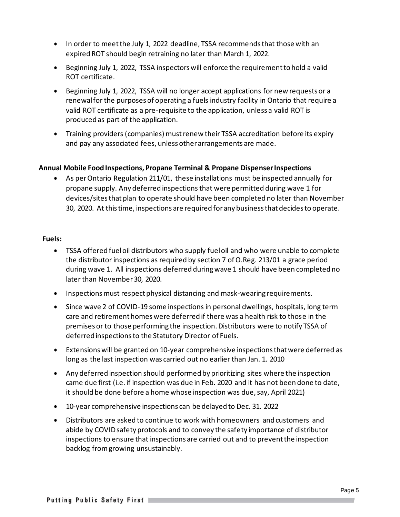- In order to meet the July 1, 2022 deadline, TSSA recommends that those with an expired ROT should begin retraining no later than March 1, 2022.
- Beginning July 1, 2022, TSSA inspectors will enforce the requirement to hold a valid ROT certificate.
- Beginning July 1, 2022, TSSA will no longer accept applications for new requests or a renewal for the purposes of operating a fuels industry facility in Ontario that require a valid ROT certificate as a pre-requisite to the application, unless a valid ROT is produced as part of the application.
- Training providers (companies) must renew their TSSA accreditation before its expiry and pay any associated fees, unless other arrangements are made.

#### **Annual Mobile FoodInspections, Propane Terminal & Propane DispenserInspections**

• As perOntario Regulation 211/01, these installations must be inspected annually for propane supply. Any deferred inspectionsthat were permitted during wave 1 for devices/sites that plan to operate should have been completed no later than November 30, 2020. At this time, inspections are required for any business that decides to operate.

#### **Fuels:**

- TSSA offered fuel oil distributors who supply fuel oil and who were unable to complete the distributor inspections as required by section 7 of O.Reg. 213/01 a grace period during wave 1. All inspections deferred during wave 1 should have been completed no later than November 30, 2020.
- Inspections must respect physical distancing and mask-wearing requirements.
- Since wave 2 of COVID-19 some inspections in personal dwellings, hospitals, long term care and retirement homes were deferred if there was a health risk to those in the premises or to those performing the inspection. Distributors were to notify TSSA of deferred inspections to the Statutory Director of Fuels.
- Extensions will be granted on 10-year comprehensive inspections that were deferred as long as the last inspection was carried out no earlier than Jan. 1. 2010
- Any deferred inspection should performed by prioritizing sites where the inspection came due first (i.e. if inspection was due in Feb. 2020 and it has not been done to date, it should be done before a home whose inspection was due, say, April 2021)
- 10-year comprehensive inspections can be delayed to Dec. 31. 2022
- Distributors are asked to continue to work with homeowners and customers and abide by COVID safety protocols and to convey the safety importance of distributor inspections to ensure that inspections are carried out and to prevent the inspection backlog from growing unsustainably.